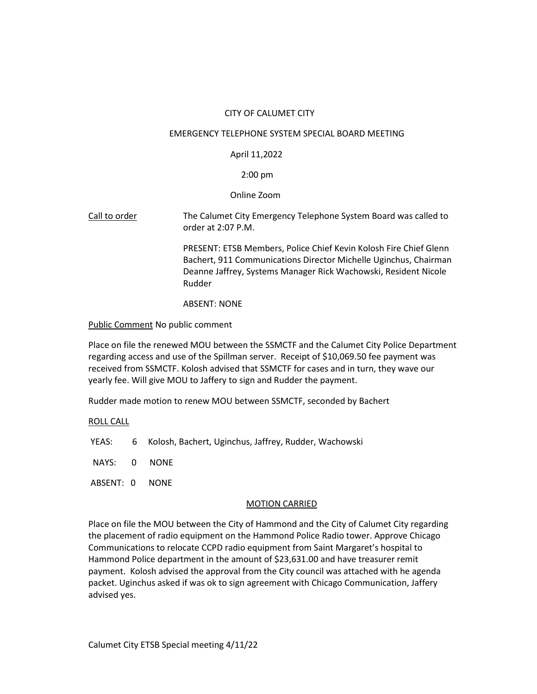# CITY OF CALUMET CITY

#### EMERGENCY TELEPHONE SYSTEM SPECIAL BOARD MEETING

## April 11,2022

### 2:00 pm

### Online Zoom

Call to order The Calumet City Emergency Telephone System Board was called to order at 2:07 P.M.

> PRESENT: ETSB Members, Police Chief Kevin Kolosh Fire Chief Glenn Bachert, 911 Communications Director Michelle Uginchus, Chairman Deanne Jaffrey, Systems Manager Rick Wachowski, Resident Nicole Rudder

### ABSENT: NONE

### Public Comment No public comment

Place on file the renewed MOU between the SSMCTF and the Calumet City Police Department regarding access and use of the Spillman server. Receipt of \$10,069.50 fee payment was received from SSMCTF. Kolosh advised that SSMCTF for cases and in turn, they wave our yearly fee. Will give MOU to Jaffery to sign and Rudder the payment.

Rudder made motion to renew MOU between SSMCTF, seconded by Bachert

### ROLL CALL

- YEAS: 6 Kolosh, Bachert, Uginchus, Jaffrey, Rudder, Wachowski
- NAYS: 0 NONE
- ABSENT: 0 NONE

### MOTION CARRIED

Place on file the MOU between the City of Hammond and the City of Calumet City regarding the placement of radio equipment on the Hammond Police Radio tower. Approve Chicago Communications to relocate CCPD radio equipment from Saint Margaret's hospital to Hammond Police department in the amount of \$23,631.00 and have treasurer remit payment. Kolosh advised the approval from the City council was attached with he agenda packet. Uginchus asked if was ok to sign agreement with Chicago Communication, Jaffery advised yes.